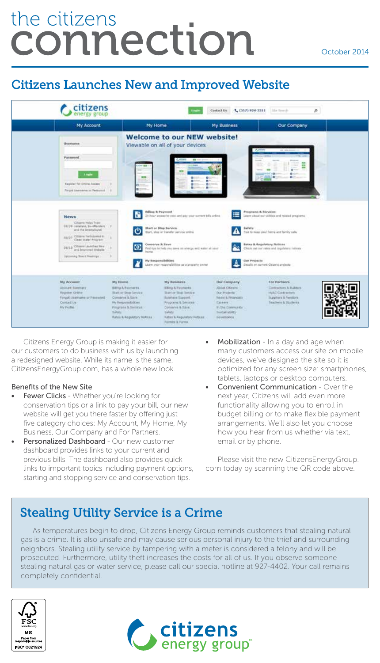# the citizens connection

#### October 2014

## Citizens Launches New and Improved Website



Citizens Energy Group is making it easier for our customers to do business with us by launching a redesigned website. While its name is the same, CitizensEnergyGroup.com, has a whole new look.

#### Benefits of the New Site

- Fewer Clicks Whether you're looking for conservation tips or a link to pay your bill, our new website will get you there faster by offering just five category choices: My Account, My Home, My Business, Our Company and For Partners.
- Personalized Dashboard Our new customer dashboard provides links to your current and previous bills. The dashboard also provides quick links to important topics including payment options, starting and stopping service and conservation tips.
- **Mobilization** In a day and age when many customers access our site on mobile devices, we've designed the site so it is optimized for any screen size: smartphones, tablets, laptops or desktop computers.
- **Convenient Communication Over the** next year, Citizens will add even more functionality allowing you to enroll in budget billing or to make flexible payment arrangements. We'll also let you choose how you hear from us whether via text, email or by phone.

Please visit the new CitizensEnergyGroup. com today by scanning the QR code above.

## Stealing Utility Service is a Crime

As temperatures begin to drop, Citizens Energy Group reminds customers that stealing natural gas is a crime. It is also unsafe and may cause serious personal injury to the thief and surrounding neighbors. Stealing utility service by tampering with a meter is considered a felony and will be prosecuted. Furthermore, utility theft increases the costs for all of us. If you observe someone stealing natural gas or water service, please call our special hotline at 927-4402. Your call remains completely confidential.